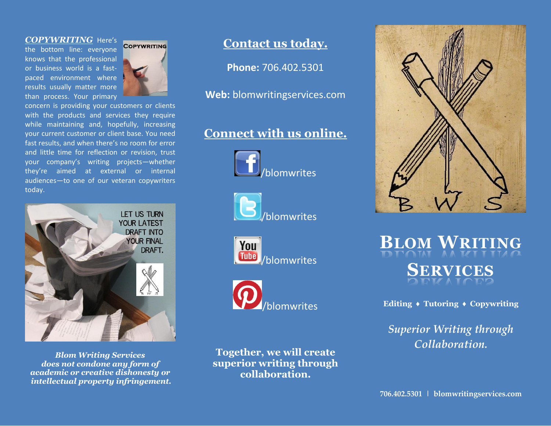### *COPYWRITING* Here's

the bottom line: everyone knows that the professional or business world is a fastpaced environment where results usually matter more than process. Your primary



concern is providing your customers or clients with the products and services they require while maintaining and, hopefully, increasing your current customer or client base. You need fast results, and when there's no room for error and little time for reflection or revision, trust your company's writing projects—whether they're aimed at external or internal audiences—to one of our veteran copywriters today.



*Blom Writing Services does not condone any form of academic or creative dishonesty or intellectual property infringement.*

# **Contact us today.**

**Phone:** 706.402.5301

**Web:** blomwritingservices.com

# **Connect with us online.**









**Together, we will create superior writing through collaboration.**



**BLOM WRITING SERVICES**

**Editing ♦ Tutoring ♦ Copywriting**

*Superior Writing through Collaboration.*